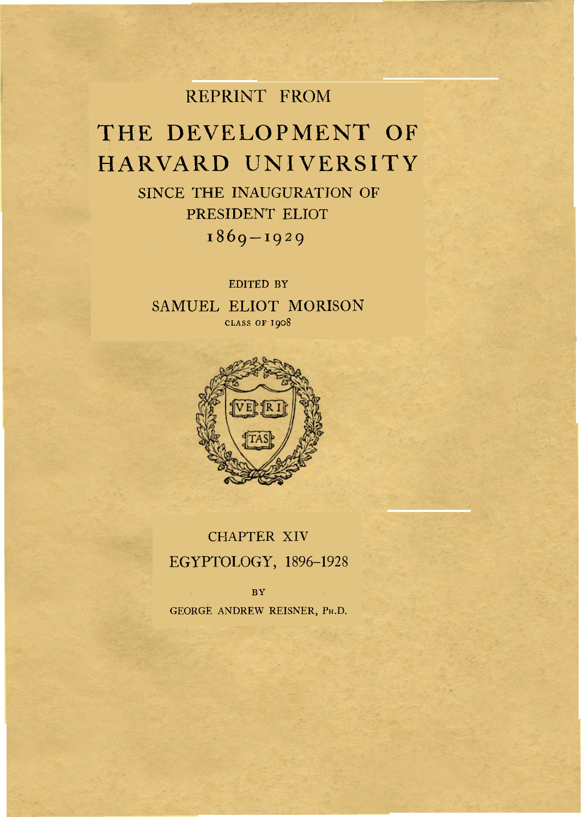## REPRINT FROM

# THE DEVELOPMENT OF HARVARD UNIVERSITY

SINCE THE INAUGURATION OF PRESIDENT ELIOT 1869 – 1929

EDITED BY SAMUEL ELIOT MORISON **CLASS OF I908** 



CHAPTER XIV EGYPTOLOGY, 1896-1928

**BY**  GEORGE ANDREW REISNER, PH.D.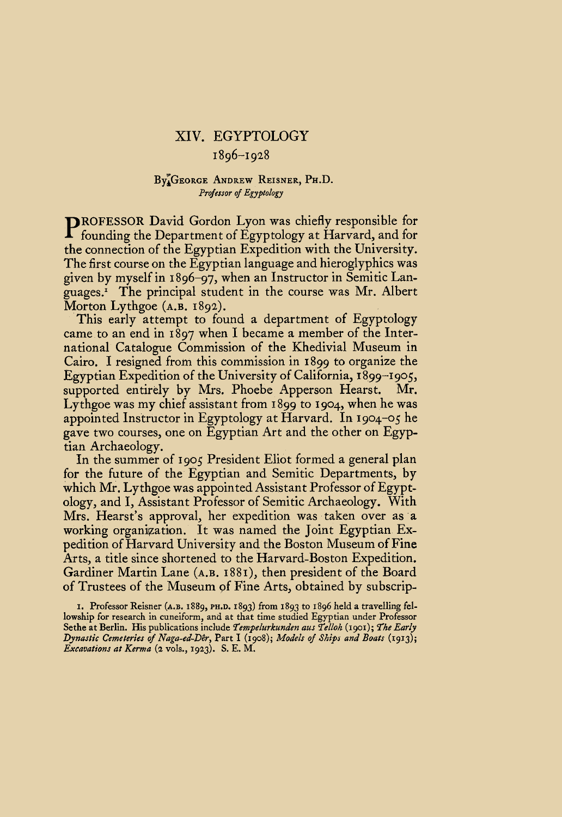### **XIV.** EGYPTOLOGY

#### 1896-1928

#### By GEORGE ANDREW REISNER, **PH.D.**  *Professor* of *Egyptology*

PROFESSOR David Gordon Lyon was chiefly responsible for founding the Department of Egyptology at Harvard, and for the connection of the Egyptian Expedition with the University. The first course on the Egyptian language and hieroglyphics was given by myself in 1896-97, when an Instructor in Semitic Languages.' The principal student in the course was Mr. Albert Morton Lythgoe **(A.B.** 1892).

This early attempt to found a department of Egyptology came to an end in 1897 when I became a member of the International Catalogue Commission of the Khedivial Museum in Cairo. I resigned from this commission in 1899 to organize the Egyptian Expedition of the University of California, I 899-1905, supported entirely by Mrs. Phoebe Apperson Hearst. Mr. Lythgoe was my chief assistant from 1899 to 1904, when he was appointed Instructor in Egyptology at Harvard. In 1904-05 he gave two courses, one on Egyptian Art and the other on Egyptian Archaeology.

In the summer of 1905 President Eliot formed a general plan for the future of the Egyptian and Semitic Departments, by which Mr. Lythgoe was appointed Assistant Professor of Egyptology, and I, Assistant Professor of Semitic Archaeology. With Mrs. Hearst's approval, her expedition was taken over as a working organization. It was named the Joint Egyptian Expedition of Harvard University and the Boston Museum of Fine Arts, a title since shortened to the Harvard-Boston Expedition. Gardiner Martin Lane **(A.B.** 1881), then president of the Board of Trustees of the Museum of Fine Arts, obtained by subscrip-

**I.** Professor Reisner **(A.B. 1889, PH.D. 1893)** from **1893** to **1896** held a travelling fellowship for research in cuneiform, and at that time studied Egyptian under Professor Sethe at Berlin. His publications include *Tempelurkunden aus Telloh* **(1901);** *The Early Dynastic Cemeteries* of *Naga-ed-Dêr,* Part **I (1908);** *Models* of ships *and Boats* **(1913);**  *Excavations at Kerma* **(2** vols., **1923). S.** E. **M.**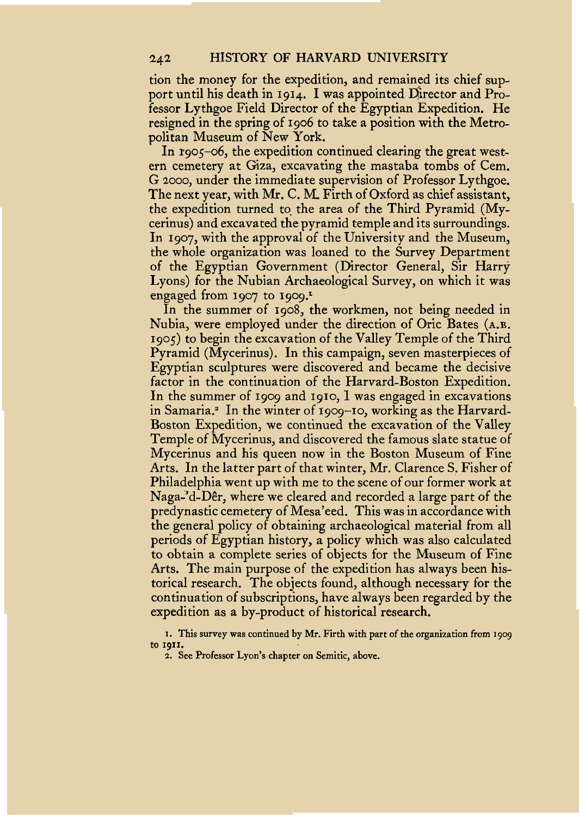tion the money for the expedition, and remained its chief support until his death in **1914.** I was appointed Director and Professor Lythgoe Field Director of the Egyptian Expedition. He resigned in the spring of **1906** to take a position with the Metropolitan Museum of New York.

In **1905-06,** the expedition continued clearing the great western cemetery at Giza, excavating the mastaba tombs of Cem. G 2000, under the immediate supervision of Professor Lythgoe. The next year, with **Mr.** C. M. Firth of Oxford as chief assistant, the expedition turned to the area of the Third Pyramid (Mycerinus) and excavated the pyramid temple and its surroundings. In **1907,** with the approval of the University and the Museum, the whole organization was loaned to the Survey Department of the Egyptian Government (Director General, Sir Harry Lyons) for the Nubian Archaeological Survey, on which it was engaged from  $1907$  to  $1909$ <sup>r</sup>

In the summer of **1908,** the workmen, not being needed in Nubia, were employed under the direction of Oric Bates **(A.B. 1905)** to begin the excavation of the Valley Temple of the Third Pyramid (Mycerinus). In this campaign, seven masterpieces of Egyptian sculptures were discovered and became the decisive factor in the continuation of the Harvard-Boston Expedition. In the summer of **1909** and **1910, I** was engaged in excavations in Samaria.² In the winter of **1909-10,** working as the Harvard-Boston Expedition, we continued the excavation of the Valley Temple of Mycerinus, and discovered the famous slate statue of Mycerinus and his queen now in the Boston Museum of Fine Arts. In the latter part of that winter, Mr. Clarence S. Fisher of Philadelphia went **up** with me to the scene of our former work at Naga-'d-Dêr, where we cleared and recorded a large part of the predynastic cemetery of Mesa'eed. This was in accordance with the general policy of obtaining archaeological material from all periods of Egyptian history, a policy which was also calculated to obtain a complete series of objects for the Museum of Fine Arts. The main purpose of the expedition has always been historical research. The objects found, although necessary for the continuation of subscriptions, have always been regarded by the expedition as a by-product of historical research.

**I. This survey was continued by Mr. Firth with part of the organization from 1909 to 1911.** 

**2. See Professor Lyon's chapter on Semitic, above.**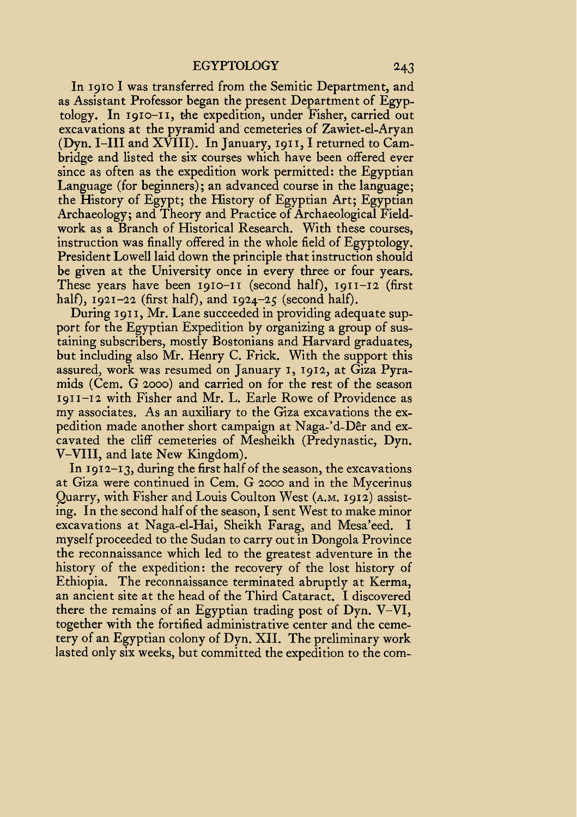In **1910** I was transferred from the Semitic Department, and as Assistant Professor began the present Department of Egyptology. In **1910-11,** the expedition, under Fisher, carried out excavations at the pyramid and cemeteries of Zawiet-el-Aryan (Dyn. I-III and XVIII). In January, **1911,** I returned to Cambridge and listed the six courses which have been offered ever since as often as the expedition work permitted: the Egyptian Language (for beginners); an advanced course in the language; the History of Egypt; the History of Egyptian Art; Egyptian Archaeology; and Theory and Practice of Archaeological Fieldwork as a Branch of Historical Research. With these courses, instruction was finally offered in the whole field of Egyptology. President Lowell laid down the principle that instruction should be given at the University once in every three or four years. These years have been **1910-11** (second half), **1911-12** (first half), **1921-22** (first half), and **1924-25** (second half).

During **191 I,** Mr. Lane succeeded in providing adequate support for the Egyptian Expedition by organizing a group of sustaining subscribers, mostly Bostonians and Harvard graduates, but including also Mr. Henry C. Frick. With the support this assured, work was resumed on January **I, 1912,** at Giza Pyramids (Cem. G **2000)** and carried on for the rest of the season **1911-12** with Fisher and Mr. L. Earle Rowe of Providence as my associates. As an auxiliary to the Giza excavations the expedition made another short campaign at Naga-'d-Dêr and excavated the cliff cemeteries of Mesheikh (Predynastic, Dyn. V-VIII, and late New Kingdom).

In **1912-13,** during the first half of the season, the excavations at Giza were continued in Cem. G **2000** and in the Mycerinus Quarry, with Fisher and Louis Coulton West **(A.M. 1912)** assisting. In the second half of the season, I sent West to make minor excavations at Naga-el-Hai, Sheikh Farag, and Mesa'eed. I myself proceeded to the Sudan to carry out in Dongola Province the reconnaissance which led to the greatest adventure in the history of the expedition: the recovery of the lost history of Ethiopia. The reconnaissance terminated abruptly at Kerma, an ancient site at the head of the Third Cataract. I discovered there the remains of an Egyptian trading post of Dyn. V-VI, together with the fortified administrative center and the cemetery of an Egyptian colony of Dyn. XII. The preliminary work lasted only six weeks, but committed the expedition to the com-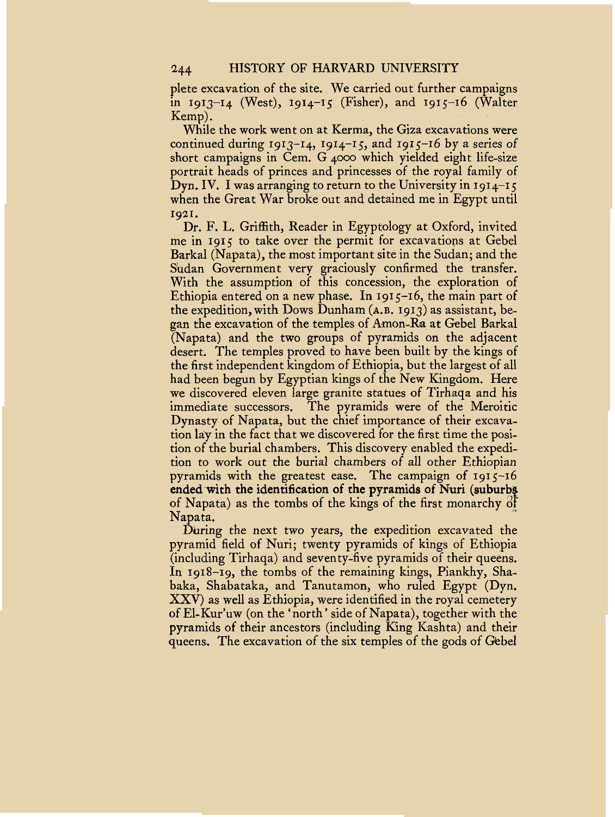plete excavation of the site. We carried out further campaigns in **1913-14** (West), **1914-15** (Fisher), and **1915-16** (Walter

Kemp).<br>While the work went on at Kerma, the Giza excavations were continued during **1913-14, 1914-15,** and **1915-16** by a series of short campaigns in Cem. G **4000** which yielded eight life-size portrait heads of princes and princesses of the royal family of Dyn. IV. I was arranging to return to the University in **1914-15**  when the Great War broke out and detained me in Egypt until **1921.** 

Dr. F. **L.** Griffith, Reader in Egyptology at Oxford, invited me in **1915** to take over the permit for excavations at Gebel Barkal (Napata), the most important site in the Sudan; and the Sudan Government very graciously confirmed the transfer. With the assumption of this concession, the exploration of Ethiopia entered on a new phase. In **1915-16,** the main part of the expedition, with Dows Dunham **(A.B. 1913)** as assistant, began the excavation of the temples of Amon-Ra at Gebel Barkal (Napata) and the two groups of pyramids on the adjacent desert. The temples proved to have been built by the kings of the first independent kingdom of Ethiopia, but the largest of all had been begun by Egyptian kings of the New Kingdom. Here we discovered eleven large granite statues of Tirhaqa and his immediate successors. The pyramids were of the Meroitic Dynasty of Napata, but the chief importance of their excavation lay in the fact that we discovered for the first time the position of the burial chambers. This discovery enabled the expedition to work out the burial chambers of all other Ethiopian pyramids with the greatest ease. The campaign of **1915-16**  ended with the identification of the pyramids of Nuri (suburbs) Napata. of Napata) as the tombs of the kings of the first monarchy of

During the next two years, the expedition excavated the pyramid field of Nuri; twenty pyramids of kings of Ethiopia (including Tirhaqa) and seventy-five pyramids of their queens. In **1918–19, the tombs of the remaining kings, Piankhy, Sha**baka, Shabataka, and Tanutamon, who ruled Egypt (Dyn. XXV) as well as Ethiopia, were identified in the royal cemetery of El-Kur'uw (on the 'north' side of Napata), together with the pyramids of their ancestors (including King Kashta) and their queens. The excavation of the six temples of the gods of Gebel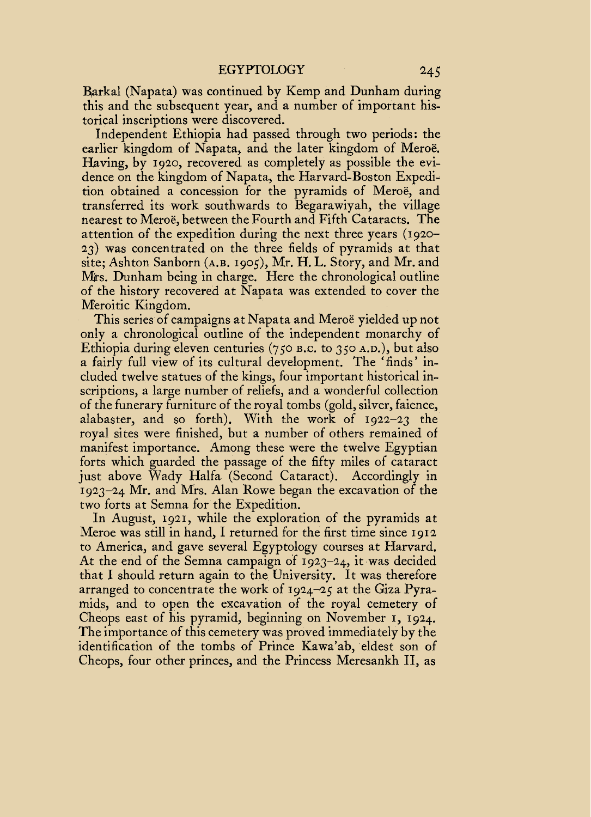Barkal (Napata) was continued by Kemp and Dunham during this and the subsequent year, and a number of important historical inscriptions were discovered.

Independent Ethiopia had passed through two periods: the earlier kingdom of Napata, and the later kingdom of Meroe. Having, by **1920,** recovered as completely as possible the evidence on the kingdom of Napata, the Harvard-Boston Expedition obtained a concession for the pyramids of Meroe, and transferred its work southwards to Begarawiyah, the village nearest to Meroe, between the Fourth and Fifth Cataracts. The attention of the expedition during the next three years **(1920- 23)** was concentrated on the three fields of pyramids at that site; Ashton Sanborn **(A.B. 1905),** Mr. H. L. Story, and Mr. and Mrs. Dunham being in charge. Here the chronological outline of the history recovered at Napata was extended to cover the Meroitic Kingdom.

This series of campaigns at Napata and Meroe yielded up not only a chronological outline of the independent monarchy of Ethiopia during eleven centuries *(750* **B.C.** to **350 A.D.),** but also a fairly full view of its cultural development. The 'finds' included twelve statues of the kings, four important historical inscriptions, a large number of reliefs, and a wonderful collection of the funerary furniture of the royal tombs (gold, silver, faience, alabaster, and so forth). With the work of **1922-23** the royal sites were finished, but a number of others remained of manifest importance. Among these were the twelve Egyptian forts which guarded the passage of the fifty miles of cataract just above Wady Halfa (Second Cataract). Accordingly in **1923-24** Mr. and Mrs. Alan Rowe began the excavation of the two forts at Semna for the Expedition.

In August, **1921,** while the exploration of the pyramids at Meroe was still in hand, I returned for the first time since **1912**  to America, and gave several Egyptology courses at Harvard. At the end of the Semna campaign of **1923-24,** it was decided that I should return again to the University. It was therefore arranged to concentrate the work of **1924-25** at the Giza Pyramids, and to open the excavation of the royal cemetery of Cheops east of his pyramid, beginning on November **I, 1924.**  The importance of this cemetery was proved immediately by the identification of the tombs of Prince Kawa'ab, eldest son of Cheops, four other princes, and the Princess Meresankh 11, as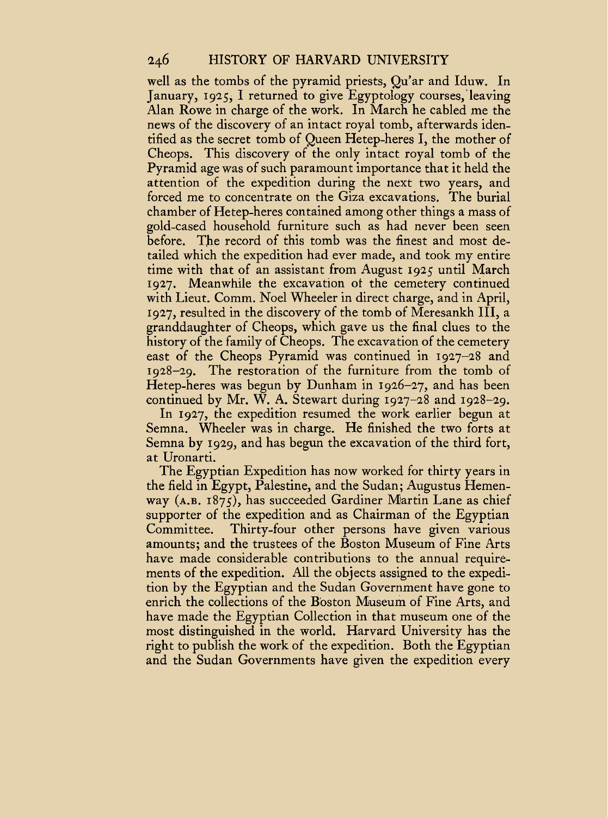#### 246 **HISTORY OF HARVARD UNIVERSITY**

well as the tombs of the pyramid priests, Qu'ar and Iduw. In January, **1925,** I returned to give Egyptology courses, leaving Alan Rowe in charge of the work. In March he cabled me the news of the discovery of an intact royal tomb, afterwards identified as the secret tomb of Queen Hetep-heres I, the mother of Cheops. This discovery of the only intact royal tomb of the Pyramid age was of such paramount importance that it held the attention of the expedition during the next two years, and forced me to concentrate on the Giza excavations. The burial chamber of Hetep-heres contained among other things a mass of gold-cased household furniture such as had never been seen before. The record of this tomb was the finest and most detailed which the expedition had ever made, and took my entire time with that of an assistant from August **1925** until March **1927.** Meanwhile the excavation of the cemetery continued with Lieut. Comm. Noel Wheeler in direct charge, and in April, **1927,** resulted in the discovery of the tomb of Meresankh III, a granddaughter of Cheops, which gave us the final clues to the history of the family of Cheops. The excavation of the cemetery east of the Cheops Pyramid was continued in **1927-28** and **1928-29.** The restoration of the furniture from the tomb of Hetep-heres was begun by Dunham in **1926-27,** and has been continued by Mr. W. A. Stewart during **1927-28** and **1928-29.** 

In **1927,** the expedition resumed the work earlier begun at Semna. Wheeler was in charge. He finished the two forts at Semna by **1929,** and has begun the excavation of the third fort, at Uronarti.

The Egyptian Expedition has now worked for thirty years in the field in Egypt, Palestine, and the Sudan; Augustus Hemenway **(A.B. 1875),** has succeeded Gardiner Martin Lane as chief supporter of the expedition and as Chairman of the Egyptian Committee. Thirty-four other persons have given various amounts; and the trustees of the Boston Museum of Fine Arts have made considerable contributions to the annual requirements of the expedition. All the objects assigned to the expedition by the Egyptian and the Sudan Government have gone to enrich the collections of the Boston Museum of Fine Arts, and have made the Egyptian Collection in that museum one of the most distinguished in the world. Harvard University has the right to publish the work of the expedition. Both the Egyptian and the Sudan Governments have given the expedition every